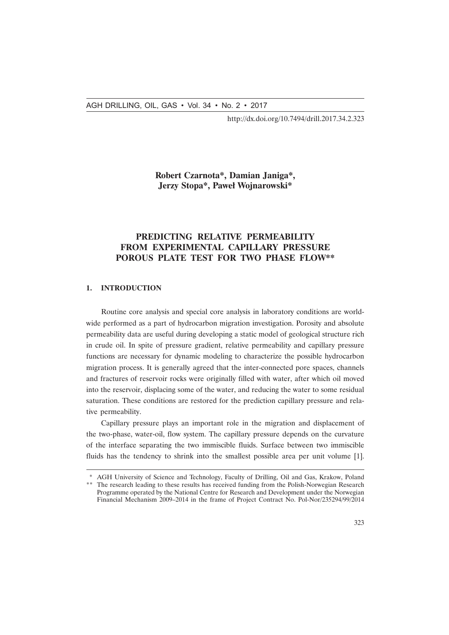http://dx.doi.org/10.7494/drill.2017.34.2.323

## **Robert Czarnota\*, Damian Janiga\*, Jerzy Stopa\*, Paweł Wojnarowski\***

# **PREDICTING RELATIVE PERMEABILITY FROM EXPERIMENTAL CAPILLARY PRESSURE POROUS PLATE TEST FOR TWO PHASE FLOW\*\***

#### **1. INTRODUCTION**

Routine core analysis and special core analysis in laboratory conditions are worldwide performed as a part of hydrocarbon migration investigation. Porosity and absolute permeability data are useful during developing a static model of geological structure rich in crude oil. In spite of pressure gradient, relative permeability and capillary pressure functions are necessary for dynamic modeling to characterize the possible hydrocarbon migration process. It is generally agreed that the inter-connected pore spaces, channels and fractures of reservoir rocks were originally filled with water, after which oil moved into the reservoir, displacing some of the water, and reducing the water to some residual saturation. These conditions are restored for the prediction capillary pressure and relative permeability.

Capillary pressure plays an important role in the migration and displacement of the two-phase, water-oil, flow system. The capillary pressure depends on the curvature of the interface separating the two immiscible fluids. Surface between two immiscible fluids has the tendency to shrink into the smallest possible area per unit volume [1].

<sup>\*</sup> AGH University of Science and Technology, Faculty of Drilling, Oil and Gas, Krakow, Poland

<sup>\*\*</sup> The research leading to these results has received funding from the Polish-Norwegian Research Programme operated by the National Centre for Research and Development under the Norwegian Financial Mechanism 2009–2014 in the frame of Project Contract No. Pol-Nor/235294/99/2014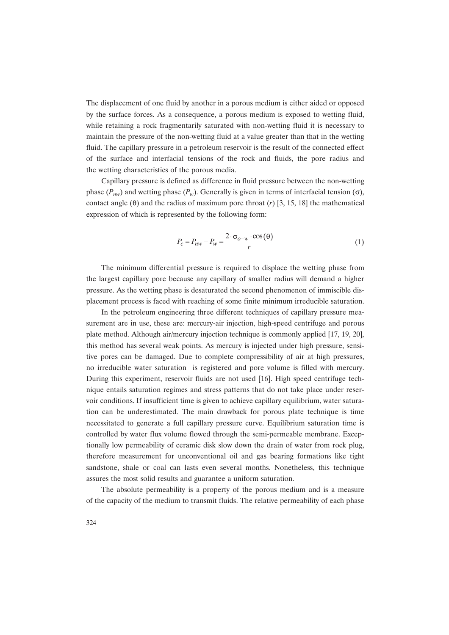The displacement of one fluid by another in a porous medium is either aided or opposed by the surface forces. As a consequence, a porous medium is exposed to wetting fluid, while retaining a rock fragmentarily saturated with non-wetting fluid it is necessary to maintain the pressure of the non-wetting fluid at a value greater than that in the wetting fluid. The capillary pressure in a petroleum reservoir is the result of the connected effect of the surface and interfacial tensions of the rock and fluids, the pore radius and the wetting characteristics of the porous media.

Capillary pressure is defined as difference in fluid pressure between the non-wetting phase  $(P_{nw})$  and wetting phase  $(P_w)$ . Generally is given in terms of interfacial tension (σ), contact angle (θ) and the radius of maximum pore throat (*r*) [3, 15, 18] the mathematical expression of which is represented by the following form:

$$
P_c = P_{nw} - P_w = \frac{2 \cdot \sigma_{o-w} \cdot \cos(\theta)}{r}
$$
 (1)

The minimum differential pressure is required to displace the wetting phase from the largest capillary pore because any capillary of smaller radius will demand a higher pressure. As the wetting phase is desaturated the second phenomenon of immiscible displacement process is faced with reaching of some finite minimum irreducible saturation.

In the petroleum engineering three different techniques of capillary pressure measurement are in use, these are: mercury-air injection, high-speed centrifuge and porous plate method. Although air/mercury injection technique is commonly applied [17, 19, 20], this method has several weak points. As mercury is injected under high pressure, sensitive pores can be damaged. Due to complete compressibility of air at high pressures, no irreducible water saturation is registered and pore volume is filled with mercury. During this experiment, reservoir fluids are not used [16]. High speed centrifuge technique entails saturation regimes and stress patterns that do not take place under reservoir conditions. If insufficient time is given to achieve capillary equilibrium, water saturation can be underestimated. The main drawback for porous plate technique is time necessitated to generate a full capillary pressure curve. Equilibrium saturation time is controlled by water flux volume flowed through the semi-permeable membrane. Exceptionally low permeability of ceramic disk slow down the drain of water from rock plug, therefore measurement for unconventional oil and gas bearing formations like tight sandstone, shale or coal can lasts even several months. Nonetheless, this technique assures the most solid results and guarantee a uniform saturation.

The absolute permeability is a property of the porous medium and is a measure of the capacity of the medium to transmit fluids. The relative permeability of each phase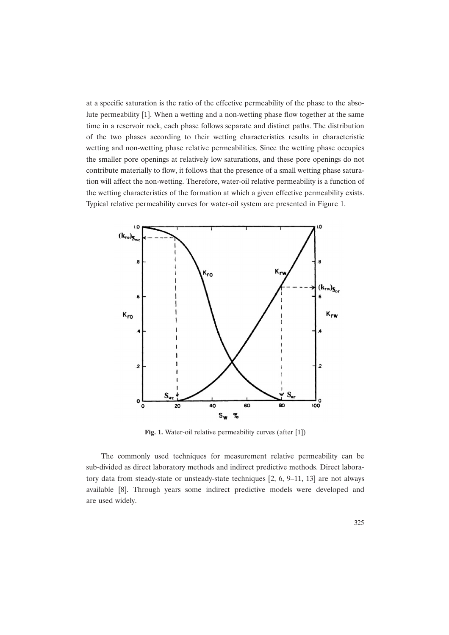at a specific saturation is the ratio of the effective permeability of the phase to the absolute permeability [1]. When a wetting and a non-wetting phase flow together at the same time in a reservoir rock, each phase follows separate and distinct paths. The distribution of the two phases according to their wetting characteristics results in characteristic wetting and non-wetting phase relative permeabilities. Since the wetting phase occupies the smaller pore openings at relatively low saturations, and these pore openings do not contribute materially to flow, it follows that the presence of a small wetting phase saturation will affect the non-wetting. Therefore, water-oil relative permeability is a function of the wetting characteristics of the formation at which a given effective permeability exists. Typical relative permeability curves for water-oil system are presented in Figure 1.



**Fig. 1.** Water-oil relative permeability curves (after [1])

The commonly used techniques for measurement relative permeability can be sub-divided as direct laboratory methods and indirect predictive methods. Direct laboratory data from steady-state or unsteady-state techniques [2, 6, 9–11, 13] are not always available [8]. Through years some indirect predictive models were developed and are used widely.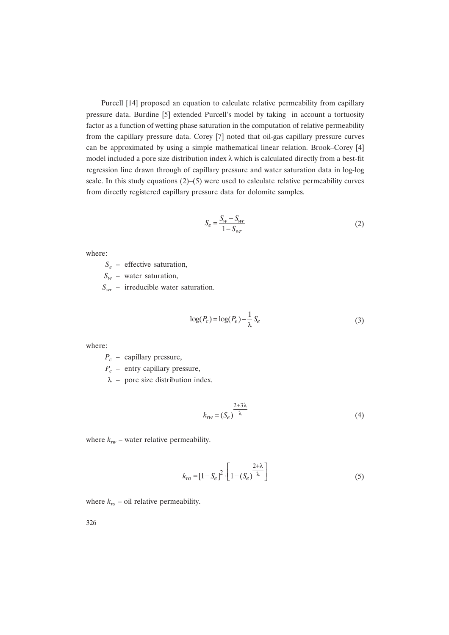Purcell [14] proposed an equation to calculate relative permeability from capillary pressure data. Burdine [5] extended Purcell's model by taking in account a tortuosity factor as a function of wetting phase saturation in the computation of relative permeability from the capillary pressure data. Corey [7] noted that oil-gas capillary pressure curves can be approximated by using a simple mathematical linear relation. Brook–Corey [4] model included a pore size distribution index  $\lambda$  which is calculated directly from a best-fit regression line drawn through of capillary pressure and water saturation data in log-log scale. In this study equations  $(2)$ –(5) were used to calculate relative permeability curves from directly registered capillary pressure data for dolomite samples.

$$
S_e = \frac{S_w - S_{wr}}{1 - S_{wr}}\tag{2}
$$

where:

*Se* – effective saturation,

*Sw* – water saturation,

*Swr* – irreducible water saturation.

$$
\log(P_c) = \log(P_e) - \frac{1}{\lambda} S_e \tag{3}
$$

where:

*Pc* – capillary pressure,

*Pe* – entry capillary pressure,

 $\lambda$  – pore size distribution index.

$$
k_{rw} = (S_e)^{\frac{2+3\lambda}{\lambda}}
$$
\n(4)

where  $k_{rw}$  – water relative permeability.

$$
k_{ro} = \left[1 - S_e\right]^2 \cdot \left[1 - \left(S_e\right)^{\frac{2 + \lambda}{\lambda}}\right] \tag{5}
$$

where  $k_{\text{ro}}$  – oil relative permeability.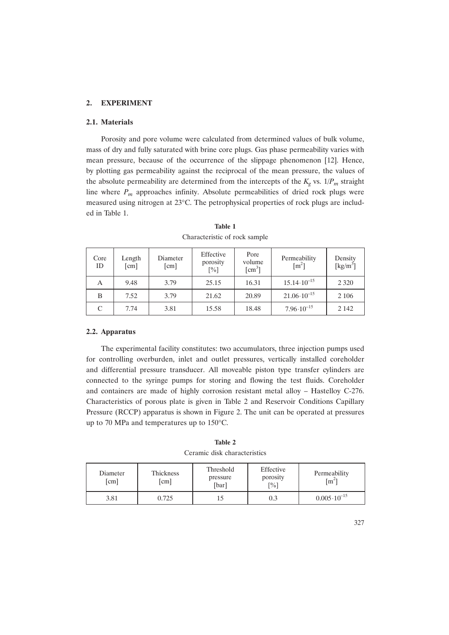### **2. EXPERIMENT**

#### **2.1. Materials**

Porosity and pore volume were calculated from determined values of bulk volume, mass of dry and fully saturated with brine core plugs. Gas phase permeability varies with mean pressure, because of the occurrence of the slippage phenomenon [12]. Hence, by plotting gas permeability against the reciprocal of the mean pressure, the values of the absolute permeability are determined from the intercepts of the  $K_{\varphi}$  vs.  $1/P_m$  straight line where  $P_m$  approaches infinity. Absolute permeabilities of dried rock plugs were measured using nitrogen at 23°C. The petrophysical properties of rock plugs are included in Table 1.

| Core<br>ID | Length<br>$\lceil$ cm $\rceil$ | Diameter<br>$\lceil$ cm $\rceil$ | Effective<br>porosity<br>$[\%]$ | Pore<br>volume<br>$\lceil$ cm <sup>3</sup> $\rceil$ | Permeability<br>$\lceil m^2 \rceil$ | Density<br>$\left[\mathrm{kg/m}^3\right]$ |
|------------|--------------------------------|----------------------------------|---------------------------------|-----------------------------------------------------|-------------------------------------|-------------------------------------------|
| А          | 9.48                           | 3.79                             | 25.15                           | 16.31                                               | $15.14 \cdot 10^{-15}$              | 2 3 2 0                                   |
| B          | 7.52                           | 3.79                             | 21.62                           | 20.89                                               | $21.06 \cdot 10^{-15}$              | 2 1 0 6                                   |
| C          | 7.74                           | 3.81                             | 15.58                           | 18.48                                               | $7.96 \cdot 10^{-15}$               | 2 1 4 2                                   |

**Table 1** Characteristic of rock sample

#### **2.2. Apparatus**

The experimental facility constitutes: two accumulators, three injection pumps used for controlling overburden, inlet and outlet pressures, vertically installed coreholder and differential pressure transducer. All moveable piston type transfer cylinders are connected to the syringe pumps for storing and flowing the test fluids. Coreholder and containers are made of highly corrosion resistant metal alloy – Hastelloy C-276. Characteristics of porous plate is given in Table 2 and Reservoir Conditions Capillary Pressure (RCCP) apparatus is shown in Figure 2. The unit can be operated at pressures up to 70 MPa and temperatures up to 150°C.

| Table 2                      |  |  |  |
|------------------------------|--|--|--|
| Ceramic disk characteristics |  |  |  |

| Diameter<br>[cm] | <b>Thickness</b><br>$\lceil$ cm $\rceil$ | Threshold<br>pressure<br>[bar] | Effective<br>porosity<br>$\lceil\% \rceil$ | Permeability<br>$\lceil m^2 \rceil$ |
|------------------|------------------------------------------|--------------------------------|--------------------------------------------|-------------------------------------|
| 3.81             | 0.725                                    | L5                             | 0.3                                        | $0.005 \cdot 10^{-15}$              |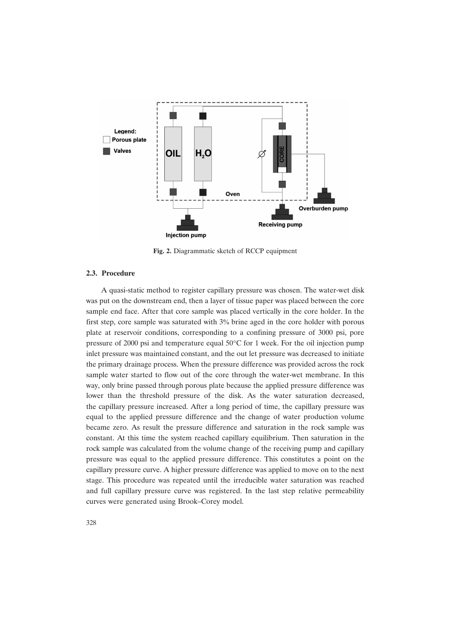

**Fig. 2.** Diagrammatic sketch of RCCP equipment

#### **2.3. Procedure**

A quasi-static method to register capillary pressure was chosen. The water-wet disk was put on the downstream end, then a layer of tissue paper was placed between the core sample end face. After that core sample was placed vertically in the core holder. In the first step, core sample was saturated with 3% brine aged in the core holder with porous plate at reservoir conditions, corresponding to a confining pressure of 3000 psi, pore pressure of 2000 psi and temperature equal  $50^{\circ}$ C for 1 week. For the oil injection pump inlet pressure was maintained constant, and the out let pressure was decreased to initiate the primary drainage process. When the pressure difference was provided across the rock sample water started to flow out of the core through the water-wet membrane. In this way, only brine passed through porous plate because the applied pressure difference was lower than the threshold pressure of the disk. As the water saturation decreased, the capillary pressure increased. After a long period of time, the capillary pressure was equal to the applied pressure difference and the change of water production volume became zero. As result the pressure difference and saturation in the rock sample was constant. At this time the system reached capillary equilibrium. Then saturation in the rock sample was calculated from the volume change of the receiving pump and capillary pressure was equal to the applied pressure difference. This constitutes a point on the capillary pressure curve. A higher pressure difference was applied to move on to the next stage. This procedure was repeated until the irreducible water saturation was reached and full capillary pressure curve was registered. In the last step relative permeability curves were generated using Brook–Corey model.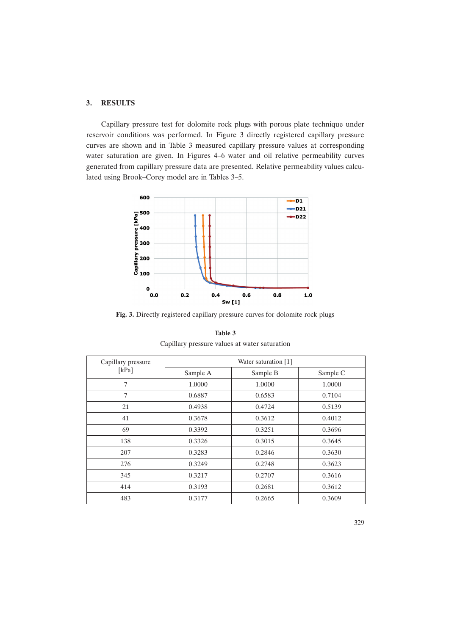## **3. RESULTS**

Capillary pressure test for dolomite rock plugs with porous plate technique under reservoir conditions was performed. In Figure 3 directly registered capillary pressure curves are shown and in Table 3 measured capillary pressure values at corresponding water saturation are given. In Figures 4–6 water and oil relative permeability curves generated from capillary pressure data are presented. Relative permeability values calculated using Brook–Corey model are in Tables 3–5.



**Fig. 3.** Directly registered capillary pressure curves for dolomite rock plugs

| Capillary pressure | Water saturation [1] |          |          |  |
|--------------------|----------------------|----------|----------|--|
| [ $kPa$ ]          | Sample A             | Sample B | Sample C |  |
| 7                  | 1.0000               | 1.0000   | 1.0000   |  |
| 7                  | 0.6887               | 0.6583   | 0.7104   |  |
| 21                 | 0.4938               | 0.4724   | 0.5139   |  |
| 41                 | 0.3678               | 0.3612   | 0.4012   |  |
| 69                 | 0.3392               | 0.3251   | 0.3696   |  |
| 138                | 0.3326               | 0.3015   | 0.3645   |  |
| 207                | 0.3283               | 0.2846   | 0.3630   |  |
| 276                | 0.3249               | 0.2748   | 0.3623   |  |
| 345                | 0.3217               | 0.2707   | 0.3616   |  |
| 414                | 0.3193               | 0.2681   | 0.3612   |  |
| 483                | 0.3177               | 0.2665   | 0.3609   |  |

**Table 3** Capillary pressure values at water saturation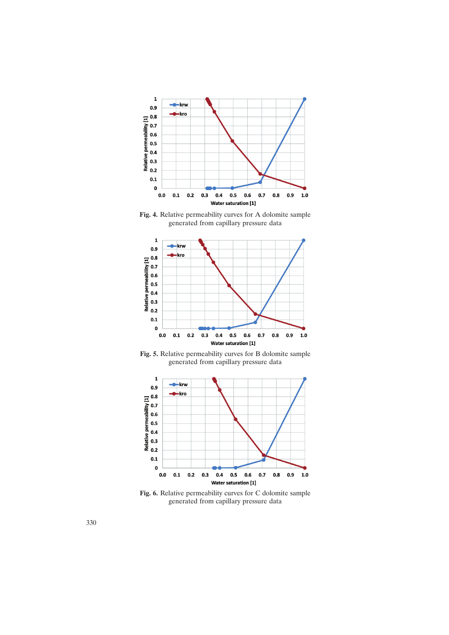

**Fig. 4.** Relative permeability curves for A dolomite sample generated from capillary pressure data



**Fig. 5.** Relative permeability curves for B dolomite sample generated from capillary pressure data



**Fig. 6.** Relative permeability curves for C dolomite sample generated from capillary pressure data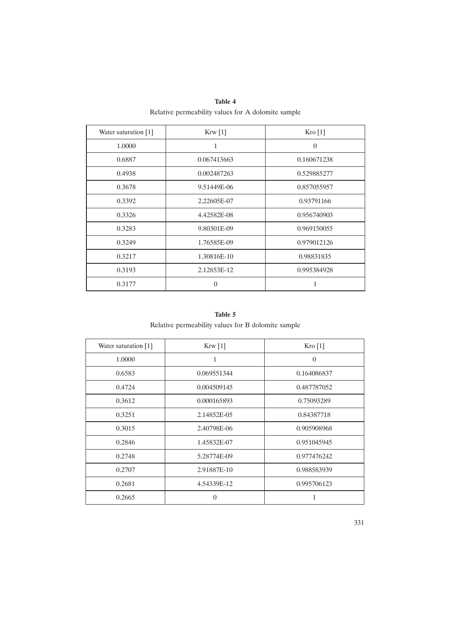| Table 4                                            |  |
|----------------------------------------------------|--|
| Relative permeability values for A dolomite sample |  |

| Water saturation [1] | Krw [1]     | Kro[1]      |
|----------------------|-------------|-------------|
| 1.0000               | 1           | $\Omega$    |
| 0.6887               | 0.067413663 | 0.160671238 |
| 0.4938               | 0.002487263 | 0.529885277 |
| 0.3678               | 9.51449E-06 | 0.857055957 |
| 0.3392               | 2.22605E-07 | 0.93791166  |
| 0.3326               | 4.42582E-08 | 0.956740903 |
| 0.3283               | 9.80301E-09 | 0.969150055 |
| 0.3249               | 1.76585E-09 | 0.979012126 |
| 0.3217               | 1.30816E-10 | 0.98831835  |
| 0.3193               | 2.12853E-12 | 0.995384928 |
| 0.3177               | 0           | 1           |

**Table 5** Relative permeability values for B dolomite sample

| Water saturation $[1]$ | Krw[1]      | Kro[1]      |
|------------------------|-------------|-------------|
| 1.0000                 | 1           | $\theta$    |
| 0.6583                 | 0.069551344 | 0.164086837 |
| 0.4724                 | 0.004509145 | 0.487787052 |
| 0.3612                 | 0.000165893 | 0.75093289  |
| 0.3251                 | 2.14852E-05 | 0.84387718  |
| 0.3015                 | 2.40798E-06 | 0.905908968 |
| 0.2846                 | 1.45832E-07 | 0.951045945 |
| 0.2748                 | 5.28774E-09 | 0.977476242 |
| 0.2707                 | 2.91887E-10 | 0.988583939 |
| 0.2681                 | 4.54339E-12 | 0.995706123 |
| 0.2665                 | $\Omega$    |             |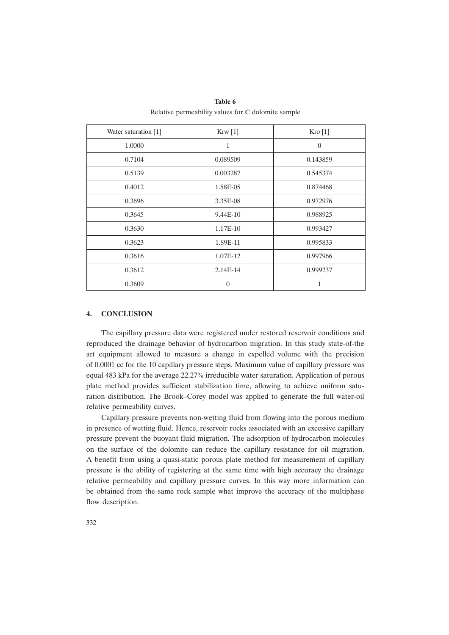| Water saturation [1] | Krw[1]   | Kro[1]         |
|----------------------|----------|----------------|
| 1.0000               | 1        | $\overline{0}$ |
| 0.7104               | 0.089509 | 0.143859       |
| 0.5139               | 0.003287 | 0.545374       |
| 0.4012               | 1.58E-05 | 0.874468       |
| 0.3696               | 3.35E-08 | 0.972976       |
| 0.3645               | 9.44E-10 | 0.988925       |
| 0.3630               | 1.17E-10 | 0.993427       |
| 0.3623               | 1.89E-11 | 0.995833       |
| 0.3616               | 1.07E-12 | 0.997966       |
| 0.3612               | 2.14E-14 | 0.999237       |
| 0.3609               | $\theta$ | 1              |

**Table 6** Relative permeability values for C dolomite sample

#### **4. CONCLUSION**

The capillary pressure data were registered under restored reservoir conditions and reproduced the drainage behavior of hydrocarbon migration. In this study state-of-the art equipment allowed to measure a change in expelled volume with the precision of 0.0001 cc for the 10 capillary pressure steps. Maximum value of capillary pressure was equal 483 kPa for the average 22.27% irreducible water saturation. Application of porous plate method provides sufficient stabilization time, allowing to achieve uniform saturation distribution. The Brook–Corey model was applied to generate the full water-oil relative permeability curves.

Capillary pressure prevents non-wetting fluid from flowing into the porous medium in presence of wetting fluid. Hence, reservoir rocks associated with an excessive capillary pressure prevent the buoyant fluid migration. The adsorption of hydrocarbon molecules on the surface of the dolomite can reduce the capillary resistance for oil migration. A benefit from using a quasi-static porous plate method for measurement of capillary pressure is the ability of registering at the same time with high accuracy the drainage relative permeability and capillary pressure curves. In this way more information can be obtained from the same rock sample what improve the accuracy of the multiphase flow description.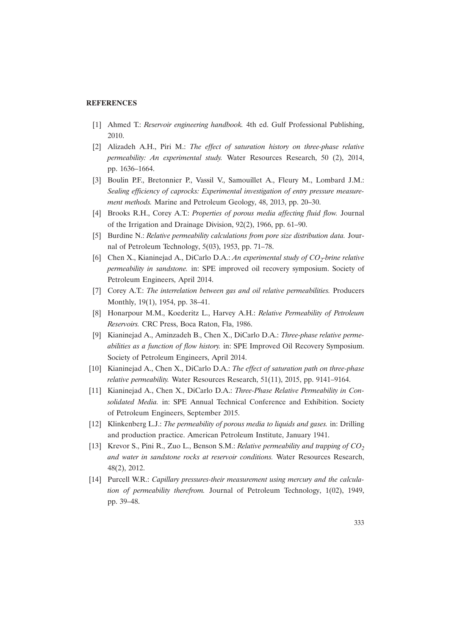## **REFERENCES**

- [1] Ahmed T.: *Reservoir engineering handbook.* 4th ed. Gulf Professional Publishing, 2010.
- [2] Alizadeh A.H., Piri M.: *The effect of saturation history on three-phase relative permeability: An experimental study.* Water Resources Research, 50 (2), 2014, pp. 1636–1664.
- [3] Boulin P.F., Bretonnier P., Vassil V., Samouillet A., Fleury M., Lombard J.M.: *Sealing efficiency of caprocks: Experimental investigation of entry pressure measurement methods.* Marine and Petroleum Geology, 48, 2013, pp. 20–30.
- [4] Brooks R.H., Corey A.T.: *Properties of porous media affecting fluid flow.* Journal of the Irrigation and Drainage Division, 92(2), 1966, pp. 61–90.
- [5] Burdine N.: *Relative permeability calculations from pore size distribution data.* Journal of Petroleum Technology, 5(03), 1953, pp. 71–78.
- [6] Chen X., Kianinejad A., DiCarlo D.A.: *An experimental study of CO<sub>2</sub>-brine relative permeability in sandstone.* in: SPE improved oil recovery symposium. Society of Petroleum Engineers, April 2014.
- [7] Corey A.T.: *The interrelation between gas and oil relative permeabilities.* Producers Monthly, 19(1), 1954, pp. 38–41.
- [8] Honarpour M.M., Koederitz L., Harvey A.H.: *Relative Permeability of Petroleum Reservoirs.* CRC Press, Boca Raton, Fla, 1986.
- [9] Kianinejad A., Aminzadeh B., Chen X., DiCarlo D.A.: *Three-phase relative permeabilities as a function of flow history.* in: SPE Improved Oil Recovery Symposium. Society of Petroleum Engineers, April 2014.
- [10] Kianinejad A., Chen X., DiCarlo D.A.: *The effect of saturation path on three-phase relative permeability.* Water Resources Research, 51(11), 2015, pp. 9141–9164.
- [11] Kianinejad A., Chen X., DiCarlo D.A.: *Three-Phase Relative Permeability in Consolidated Media.* in: SPE Annual Technical Conference and Exhibition. Society of Petroleum Engineers, September 2015.
- [12] Klinkenberg L.J.: *The permeability of porous media to liquids and gases.* in: Drilling and production practice. American Petroleum Institute, January 1941.
- [13] Krevor S., Pini R., Zuo L., Benson S.M.: *Relative permeability and trapping of CO2 and water in sandstone rocks at reservoir conditions.* Water Resources Research, 48(2), 2012.
- [14] Purcell W.R.: *Capillary pressures-their measurement using mercury and the calculation of permeability therefrom.* Journal of Petroleum Technology, 1(02), 1949, pp. 39–48.